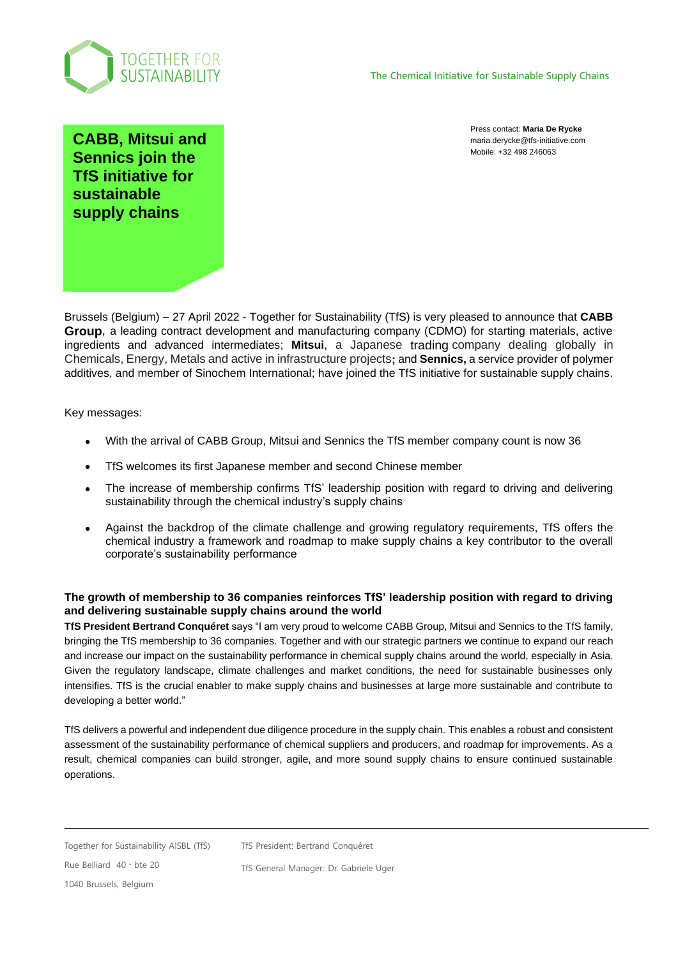

Press contact: **Maria De Rycke** maria.derycke@tfs-initiative.com Mobile: +32 498 246063

**CABB, Mitsui and Sennics join the TfS initiative for sustainable supply chains**

Brussels (Belgium) – 27 April 2022 - Together for Sustainability (TfS) is very pleased to announce that **CABB Group**, a leading contract development and manufacturing company (CDMO) for starting materials, active ingredients and advanced intermediates; **Mitsui**, a Japanese trading company dealing globally in Chemicals, Energy, Metals and active in infrastructure projects**;** and **Sennics,** a service provider of polymer additives, and member of Sinochem International; have joined the TfS initiative for sustainable supply chains.

Key messages:

- With the arrival of CABB Group, Mitsui and Sennics the TfS member company count is now 36
- TfS welcomes its first Japanese member and second Chinese member
- The increase of membership confirms TfS' leadership position with regard to driving and delivering sustainability through the chemical industry's supply chains
- Against the backdrop of the climate challenge and growing regulatory requirements, TfS offers the chemical industry a framework and roadmap to make supply chains a key contributor to the overall corporate's sustainability performance

### **The growth of membership to 36 companies reinforces TfS' leadership position with regard to driving and delivering sustainable supply chains around the world**

**TfS President Bertrand Conquéret** says "I am very proud to welcome CABB Group, Mitsui and Sennics to the TfS family, bringing the TfS membership to 36 companies. Together and with our strategic partners we continue to expand our reach and increase our impact on the sustainability performance in chemical supply chains around the world, especially in Asia. Given the regulatory landscape, climate challenges and market conditions, the need for sustainable businesses only intensifies. TfS is the crucial enabler to make supply chains and businesses at large more sustainable and contribute to developing a better world."

TfS delivers a powerful and independent due diligence procedure in the supply chain. This enables a robust and consistent assessment of the sustainability performance of chemical suppliers and producers, and roadmap for improvements. As a result, chemical companies can build stronger, agile, and more sound supply chains to ensure continued sustainable operations.

TfS President: Bertrand Conquéret

Rue Belliard 40 **.** bte 20 1040 Brussels, Belgium

TfS General Manager: Dr. Gabriele Uger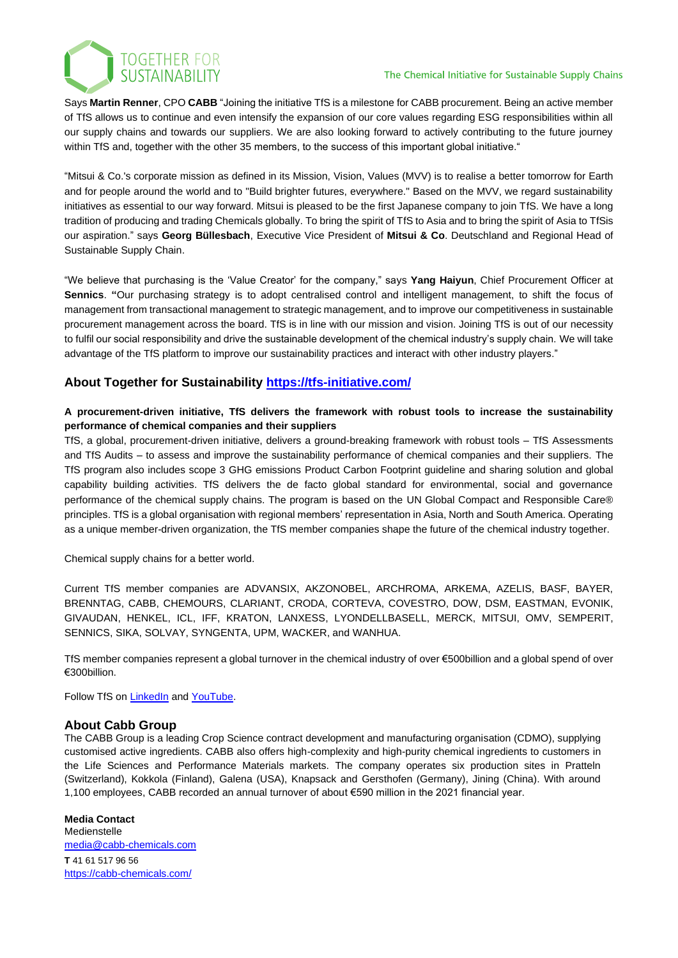

TOGETHER FOR<br>SUSTAINABILITY

Says **Martin Renner**, CPO **CABB** "Joining the initiative TfS is a milestone for CABB procurement. Being an active member of TfS allows us to continue and even intensify the expansion of our core values regarding ESG responsibilities within all our supply chains and towards our suppliers. We are also looking forward to actively contributing to the future journey within TfS and, together with the other 35 members, to the success of this important global initiative."

"Mitsui & Co.'s corporate mission as defined in its Mission, Vision, Values (MVV) is to realise a better tomorrow for Earth and for people around the world and to "Build brighter futures, everywhere." Based on the MVV, we regard sustainability initiatives as essential to our way forward. Mitsui is pleased to be the first Japanese company to join TfS. We have a long tradition of producing and trading Chemicals globally. To bring the spirit of TfS to Asia and to bring the spirit of Asia to TfSis our aspiration." says **Georg Büllesbach**, Executive Vice President of **Mitsui & Co**. Deutschland and Regional Head of Sustainable Supply Chain.

"We believe that purchasing is the 'Value Creator' for the company," says **Yang Haiyun**, Chief Procurement Officer at **Sennics**. **"**Our purchasing strategy is to adopt centralised control and intelligent management, to shift the focus of management from transactional management to strategic management, and to improve our competitiveness in sustainable procurement management across the board. TfS is in line with our mission and vision. Joining TfS is out of our necessity to fulfil our social responsibility and drive the sustainable development of the chemical industry's supply chain. We will take advantage of the TfS platform to improve our sustainability practices and interact with other industry players."

# **About Together for Sustainability <https://tfs-initiative.com/>**

## **A procurement-driven initiative, TfS delivers the framework with robust tools to increase the sustainability performance of chemical companies and their suppliers**

TfS, a global, procurement-driven initiative, delivers a ground-breaking framework with robust tools – TfS Assessments and TfS Audits – to assess and improve the sustainability performance of chemical companies and their suppliers. The TfS program also includes scope 3 GHG emissions Product Carbon Footprint guideline and sharing solution and global capability building activities. TfS delivers the de facto global standard for environmental, social and governance performance of the chemical supply chains. The program is based on the UN Global Compact and Responsible Care® principles. TfS is a global organisation with regional members' representation in Asia, North and South America. Operating as a unique member-driven organization, the TfS member companies shape the future of the chemical industry together.

Chemical supply chains for a better world.

Current TfS member companies are ADVANSIX, AKZONOBEL, ARCHROMA, ARKEMA, AZELIS, BASF, BAYER, BRENNTAG, CABB, CHEMOURS, CLARIANT, CRODA, CORTEVA, COVESTRO, DOW, DSM, EASTMAN, EVONIK, GIVAUDAN, HENKEL, ICL, IFF, KRATON, LANXESS, LYONDELLBASELL, MERCK, MITSUI, OMV, SEMPERIT, SENNICS, SIKA, SOLVAY, SYNGENTA, UPM, WACKER, and WANHUA.

TfS member companies represent a global turnover in the chemical industry of over €500billion and a global spend of over €300billion.

Follow TfS on [LinkedIn](https://www.linkedin.com/company/together-for-sustainability/?viewAsMember=true) and [YouTube.](https://www.youtube.com/channel/UCzdupADJJ3vutj6ICZ0a1-g/videos)

# **About Cabb Group**

The CABB Group is a leading Crop Science contract development and manufacturing organisation (CDMO), supplying customised active ingredients. CABB also offers high-complexity and high-purity chemical ingredients to customers in the Life Sciences and Performance Materials markets. The company operates six production sites in Pratteln (Switzerland), Kokkola (Finland), Galena (USA), Knapsack and Gersthofen (Germany), Jining (China). With around 1,100 employees, CABB recorded an annual turnover of about €590 million in the 2021 financial year.

**Media Contact** Medienstelle [media@cabb-chemicals.com](mailto:barbara.sulser@cabb-chemicals.com) **T** 41 61 517 96 56 <https://cabb-chemicals.com/>